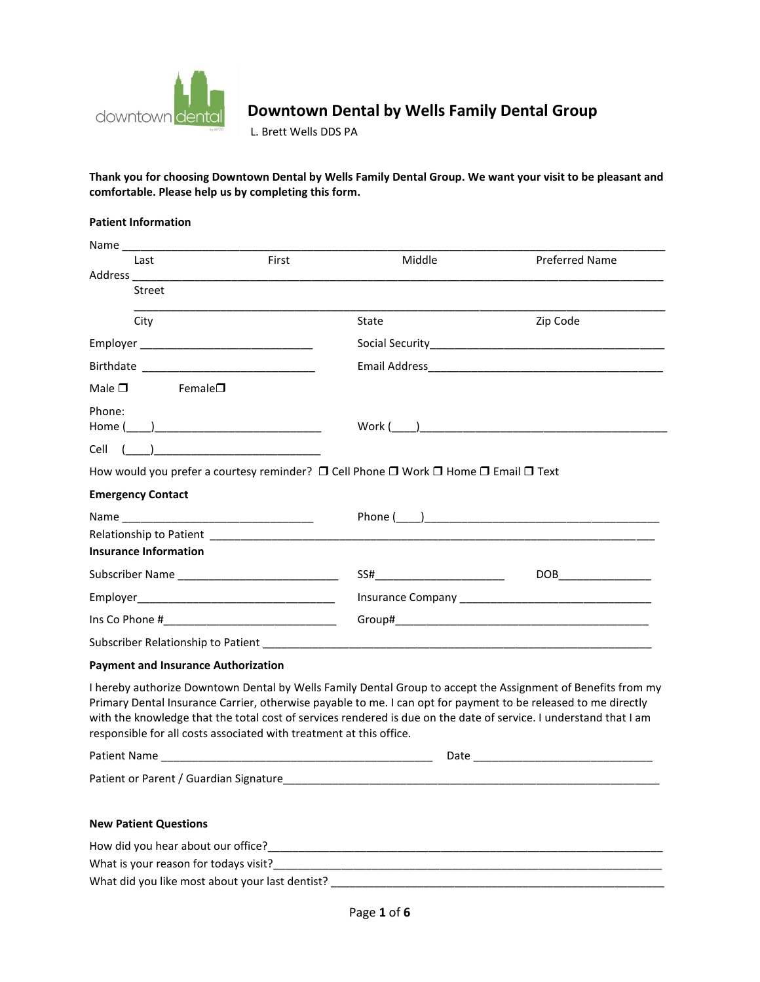

L. Brett Wells DDS PA

**Thank you for choosing Downtown Dental by Wells Family Dental Group. We want your visit to be pleasant and comfortable. Please help us by completing this form.** 

| <b>Patient Information</b>                                          |       |                                                                                     |                                                                                                                                                                                                                                                                                                                                                     |
|---------------------------------------------------------------------|-------|-------------------------------------------------------------------------------------|-----------------------------------------------------------------------------------------------------------------------------------------------------------------------------------------------------------------------------------------------------------------------------------------------------------------------------------------------------|
| Last                                                                | First | Middle                                                                              | <b>Preferred Name</b>                                                                                                                                                                                                                                                                                                                               |
| Street                                                              |       |                                                                                     |                                                                                                                                                                                                                                                                                                                                                     |
|                                                                     |       |                                                                                     |                                                                                                                                                                                                                                                                                                                                                     |
| City                                                                |       | <b>State</b>                                                                        | Zip Code                                                                                                                                                                                                                                                                                                                                            |
|                                                                     |       |                                                                                     |                                                                                                                                                                                                                                                                                                                                                     |
|                                                                     |       |                                                                                     |                                                                                                                                                                                                                                                                                                                                                     |
| Male $\square$<br>Female $\Box$                                     |       |                                                                                     |                                                                                                                                                                                                                                                                                                                                                     |
| Phone:                                                              |       |                                                                                     |                                                                                                                                                                                                                                                                                                                                                     |
|                                                                     |       |                                                                                     |                                                                                                                                                                                                                                                                                                                                                     |
|                                                                     |       | How would you prefer a courtesy reminder? □ Cell Phone □ Work □ Home □ Email □ Text |                                                                                                                                                                                                                                                                                                                                                     |
| <b>Emergency Contact</b>                                            |       |                                                                                     |                                                                                                                                                                                                                                                                                                                                                     |
|                                                                     |       |                                                                                     |                                                                                                                                                                                                                                                                                                                                                     |
|                                                                     |       |                                                                                     |                                                                                                                                                                                                                                                                                                                                                     |
| <b>Insurance Information</b>                                        |       |                                                                                     |                                                                                                                                                                                                                                                                                                                                                     |
|                                                                     |       |                                                                                     |                                                                                                                                                                                                                                                                                                                                                     |
|                                                                     |       |                                                                                     |                                                                                                                                                                                                                                                                                                                                                     |
|                                                                     |       |                                                                                     |                                                                                                                                                                                                                                                                                                                                                     |
|                                                                     |       |                                                                                     |                                                                                                                                                                                                                                                                                                                                                     |
| <b>Payment and Insurance Authorization</b>                          |       |                                                                                     |                                                                                                                                                                                                                                                                                                                                                     |
| responsible for all costs associated with treatment at this office. |       |                                                                                     | I hereby authorize Downtown Dental by Wells Family Dental Group to accept the Assignment of Benefits from my<br>Primary Dental Insurance Carrier, otherwise payable to me. I can opt for payment to be released to me directly<br>with the knowledge that the total cost of services rendered is due on the date of service. I understand that I am |
|                                                                     |       |                                                                                     |                                                                                                                                                                                                                                                                                                                                                     |
| Patient or Parent / Guardian Signature                              |       |                                                                                     |                                                                                                                                                                                                                                                                                                                                                     |
| <b>New Patient Questions</b>                                        |       |                                                                                     |                                                                                                                                                                                                                                                                                                                                                     |
|                                                                     |       |                                                                                     |                                                                                                                                                                                                                                                                                                                                                     |
|                                                                     |       |                                                                                     |                                                                                                                                                                                                                                                                                                                                                     |
| What did you like most about your last dentist?                     |       |                                                                                     |                                                                                                                                                                                                                                                                                                                                                     |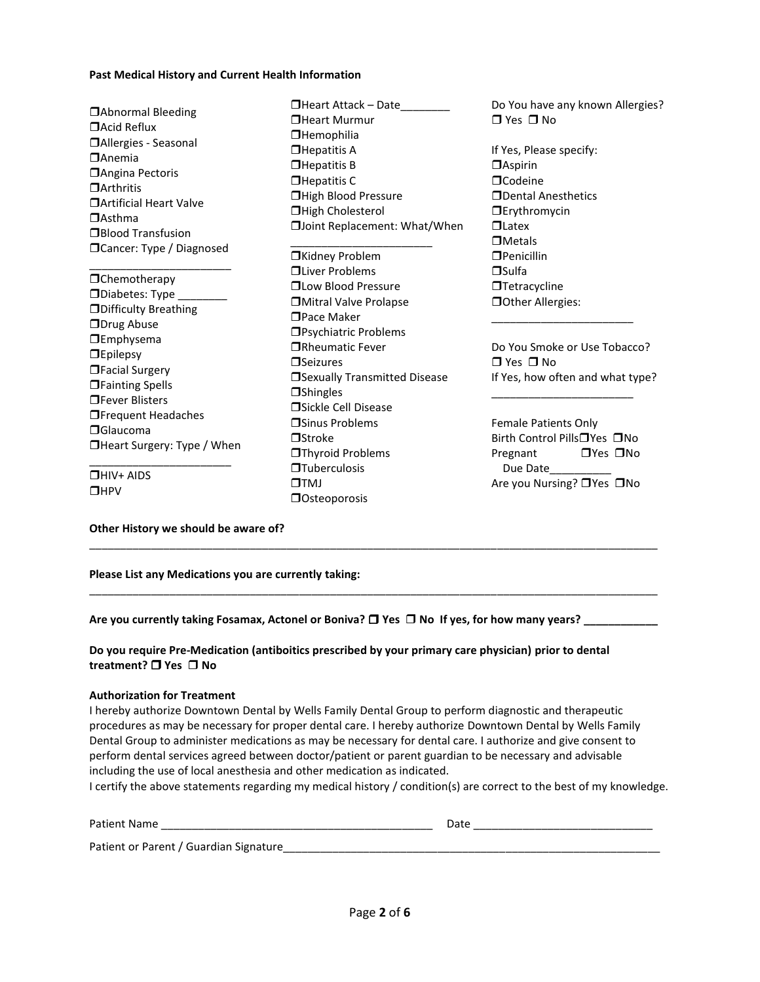#### **Past Medical History and Current Health Information**

Abnormal Bleeding □ Acid Reflux Allergies - Seasonal **DAnemia** Angina Pectoris **□**Arthritis Artificial Heart Valve **□**Asthma **□Blood Transfusion** DCancer: Type / Diagnosed \_\_\_\_\_\_\_\_\_\_\_\_\_\_\_\_\_\_\_\_\_\_\_ **O**Chemotherapy  $\square$ Diabetes: Type Difficulty Breathing □Drug Abuse **OEmphysema DEpilepsy** Facial Surgery Fainting Spells Fever Blisters Frequent Headaches **O**Glaucoma

□Heart Surgery: Type / When \_\_\_\_\_\_\_\_\_\_\_\_\_\_\_\_\_\_\_\_\_\_\_

 $THIV+ AIDS$  $I$ HPV

 $\Box$  Heart Attack – Date **Heart Murmur O**Hemophilia  $\Box$ Hepatitis A  $\Box$ Hepatitis B □Hepatitis C □High Blood Pressure **High Cholesterol** Joint Replacement: What/When

\_\_\_\_\_\_\_\_\_\_\_\_\_\_\_\_\_\_\_\_\_\_\_

Kidney Problem Liver Problems **OLow Blood Pressure** Mitral Valve Prolapse □Pace Maker Psychiatric Problems Rheumatic Fever **OSeizures** Sexually Transmitted Disease **□Shingles** Sickle Cell Disease Sinus Problems □Stroke Thyroid Problems  $\Box$ Tuberculosis  $TTMI$ □ Osteoporosis

\_\_\_\_\_\_\_\_\_\_\_\_\_\_\_\_\_\_\_\_\_\_\_\_\_\_\_\_\_\_\_\_\_\_\_\_\_\_\_\_\_\_\_\_\_\_\_\_\_\_\_\_\_\_\_\_\_\_\_\_\_\_\_\_\_\_\_\_\_\_\_\_\_\_\_\_\_\_\_\_\_\_\_\_\_\_\_\_\_\_\_\_

\_\_\_\_\_\_\_\_\_\_\_\_\_\_\_\_\_\_\_\_\_\_\_\_\_\_\_\_\_\_\_\_\_\_\_\_\_\_\_\_\_\_\_\_\_\_\_\_\_\_\_\_\_\_\_\_\_\_\_\_\_\_\_\_\_\_\_\_\_\_\_\_\_\_\_\_\_\_\_\_\_\_\_\_\_\_\_\_\_\_\_\_

Do You have any known Allergies?  $\Box$  Yes  $\Box$  No

If Yes, Please specify: **O**Aspirin □Codeine **ODental Anesthetics OErythromycin OLatex O**Metals Penicillin  $\Box$ Sulfa **T**Tetracycline **Other Allergies:** 

Do You Smoke or Use Tobacco? □ Yes □ No If Yes, how often and what type?

\_\_\_\_\_\_\_\_\_\_\_\_\_\_\_\_\_\_\_\_\_\_\_

\_\_\_\_\_\_\_\_\_\_\_\_\_\_\_\_\_\_\_\_\_\_\_

Female Patients Only Birth Control Pills<sup>TYes</sup> <sup>No</sup> Pregnant DYes ONo Due Date\_\_\_\_\_\_\_\_\_\_ Are you Nursing? Thes Tho

**Other History we should be aware of?** 

**Please List any Medications you are currently taking:** 

Are you currently taking Fosamax, Actonel or Boniva?  $\Box$  Yes  $\Box$  No If yes, for how many years? \_\_\_\_\_\_\_\_\_\_\_\_

**Do you require Pre-Medication (antiboitics prescribed by your primary care physician) prior to dental treatment?** □ Yes □ No

#### **Authorization for Treatment**

I hereby authorize Downtown Dental by Wells Family Dental Group to perform diagnostic and therapeutic procedures as may be necessary for proper dental care. I hereby authorize Downtown Dental by Wells Family Dental Group to administer medications as may be necessary for dental care. I authorize and give consent to perform dental services agreed between doctor/patient or parent guardian to be necessary and advisable including the use of local anesthesia and other medication as indicated.

I certify the above statements regarding my medical history / condition(s) are correct to the best of my knowledge.

| Patient Name                           | Date |
|----------------------------------------|------|
| Patient or Parent / Guardian Signature |      |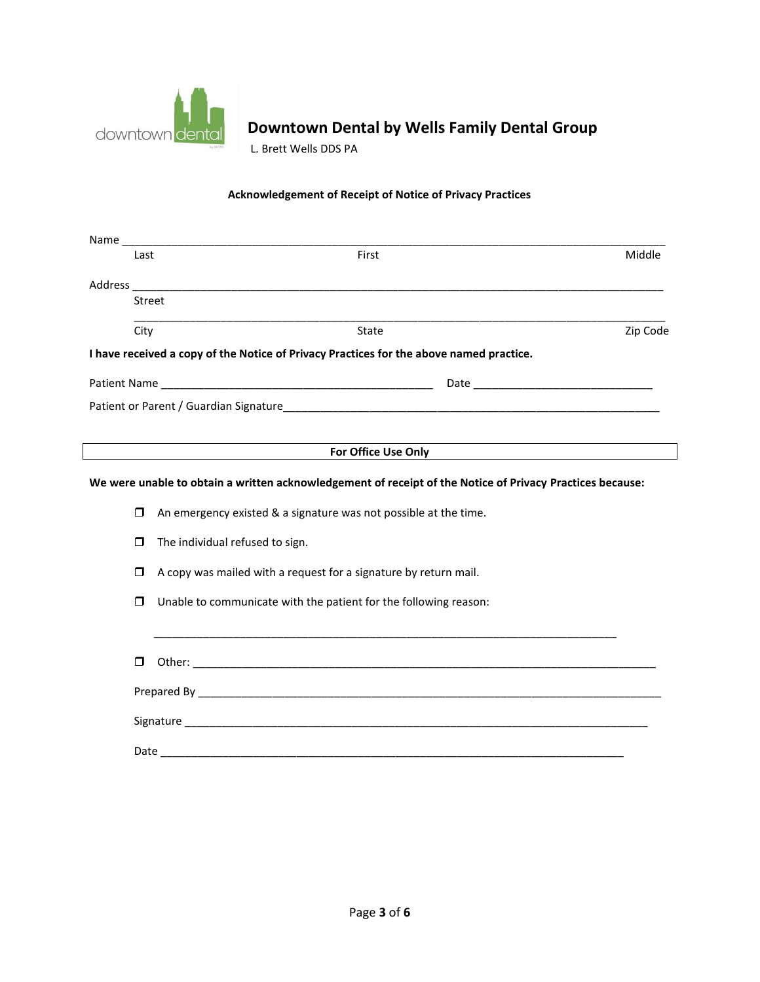

L. Brett Wells DDS PA

### **Acknowledgement of Receipt of Notice of Privacy Practices**

| Last   |                                 | First                                                                                                     | Middle   |
|--------|---------------------------------|-----------------------------------------------------------------------------------------------------------|----------|
|        |                                 |                                                                                                           |          |
|        | Street                          |                                                                                                           |          |
| City   |                                 | State                                                                                                     | Zip Code |
|        |                                 | I have received a copy of the Notice of Privacy Practices for the above named practice.                   |          |
|        |                                 |                                                                                                           |          |
|        |                                 |                                                                                                           |          |
|        |                                 |                                                                                                           |          |
|        |                                 | For Office Use Only <b>Container the Contract Orleans Contract Contract Orleans</b>                       |          |
|        |                                 | We were unable to obtain a written acknowledgement of receipt of the Notice of Privacy Practices because: |          |
| □      |                                 | An emergency existed & a signature was not possible at the time.                                          |          |
| □      | The individual refused to sign. |                                                                                                           |          |
| □      |                                 | A copy was mailed with a request for a signature by return mail.                                          |          |
| $\Box$ |                                 | Unable to communicate with the patient for the following reason:                                          |          |
| $\Box$ |                                 |                                                                                                           |          |
|        |                                 |                                                                                                           |          |
|        |                                 |                                                                                                           |          |
|        |                                 |                                                                                                           |          |
| Date   |                                 |                                                                                                           |          |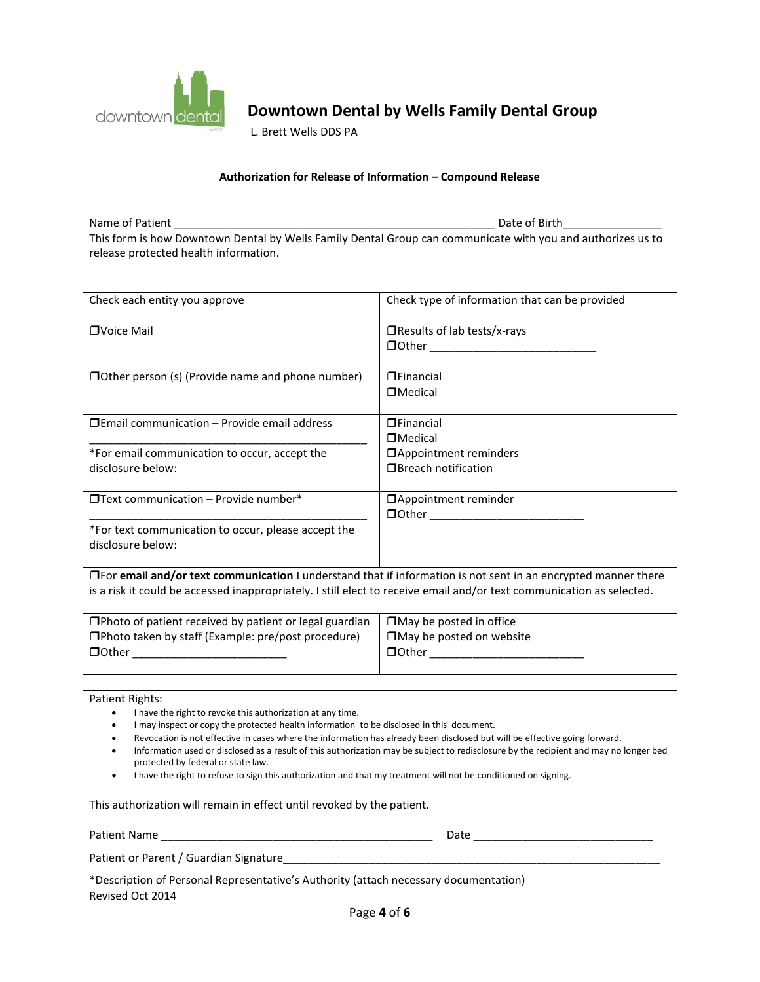

L. Brett Wells DDS PA

### **Authorization for Release of Information – Compound Release**

| Name of Patient                       | Date of Birth                                                                                               |
|---------------------------------------|-------------------------------------------------------------------------------------------------------------|
|                                       | This form is how Downtown Dental by Wells Family Dental Group can communicate with you and authorizes us to |
| release protected health information. |                                                                                                             |

| Check each entity you approve                                                                                         | Check type of information that can be provided                                                                 |  |
|-----------------------------------------------------------------------------------------------------------------------|----------------------------------------------------------------------------------------------------------------|--|
| □Voice Mail                                                                                                           | $\Box$ Results of lab tests/x-rays                                                                             |  |
|                                                                                                                       |                                                                                                                |  |
| □ Other person (s) (Provide name and phone number)                                                                    | $\Box$ Financial                                                                                               |  |
|                                                                                                                       | $\Box$ Medical                                                                                                 |  |
| □ Email communication – Provide email address                                                                         | $\Box$ Financial                                                                                               |  |
|                                                                                                                       | $\Box$ Medical                                                                                                 |  |
| *For email communication to occur, accept the                                                                         | □ Appointment reminders                                                                                        |  |
| disclosure below:                                                                                                     | □ Breach notification                                                                                          |  |
| $\Box$ Text communication - Provide number*                                                                           | <b>OAppointment reminder</b>                                                                                   |  |
|                                                                                                                       | DOther ___________________________                                                                             |  |
| *For text communication to occur, please accept the<br>disclosure below:                                              |                                                                                                                |  |
|                                                                                                                       | □For email and/or text communication I understand that if information is not sent in an encrypted manner there |  |
| is a risk it could be accessed inappropriately. I still elect to receive email and/or text communication as selected. |                                                                                                                |  |
| $\square$ Photo of patient received by patient or legal guardian                                                      | $\Box$ May be posted in office                                                                                 |  |
| □Photo taken by staff (Example: pre/post procedure)                                                                   | □May be posted on website                                                                                      |  |
|                                                                                                                       |                                                                                                                |  |
|                                                                                                                       |                                                                                                                |  |

### Patient Rights:

- I have the right to revoke this authorization at any time.
- I may inspect or copy the protected health information to be disclosed in this document.
- Revocation is not effective in cases where the information has already been disclosed but will be effective going forward.
- Information used or disclosed as a result of this authorization may be subject to redisclosure by the recipient and may no longer bed protected by federal or state law.
- I have the right to refuse to sign this authorization and that my treatment will not be conditioned on signing.

This authorization will remain in effect until revoked by the patient.

Patient Name \_\_\_\_\_\_\_\_\_\_\_\_\_\_\_\_\_\_\_\_\_\_\_\_\_\_\_\_\_\_\_\_\_\_\_\_\_\_\_\_\_\_\_\_ Date \_\_\_\_\_\_\_\_\_\_\_\_\_\_\_\_\_\_\_\_\_\_\_\_\_\_\_\_\_

Patient or Parent / Guardian Signature\_\_\_\_\_\_\_\_\_\_\_\_\_\_\_\_\_\_\_\_\_\_\_\_\_\_\_\_\_\_\_\_\_\_\_\_\_\_\_\_\_\_\_\_\_\_\_\_\_\_\_\_\_\_\_\_\_\_\_\_\_

\*Description of Personal Representative's Authority (attach necessary documentation) Revised Oct 2014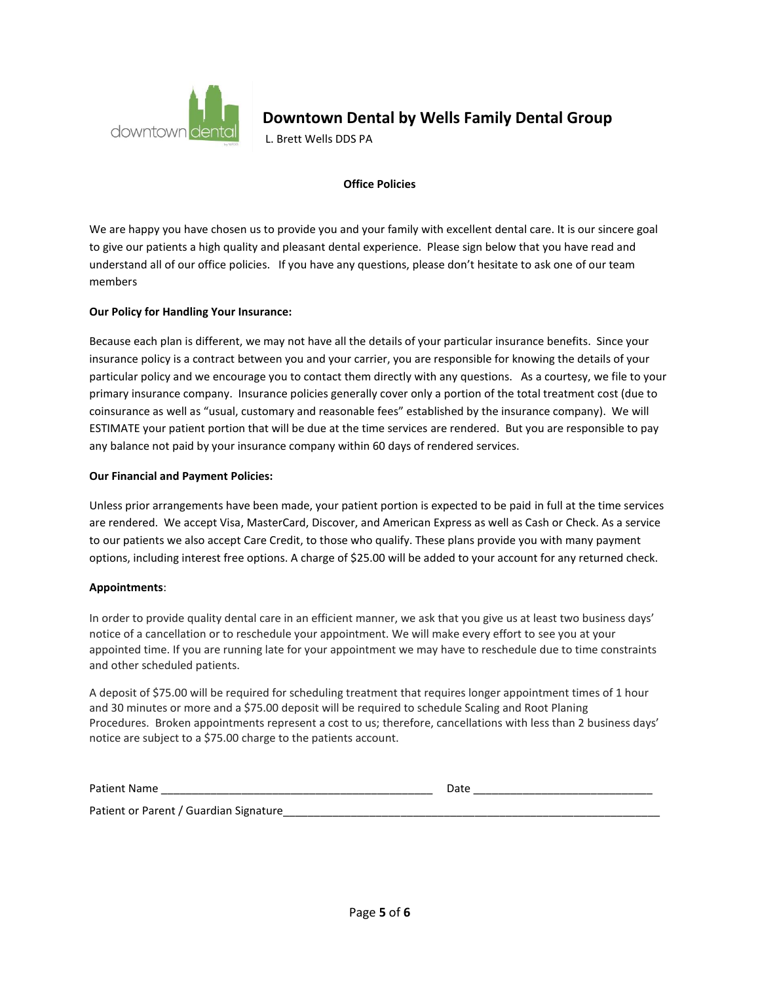

L. Brett Wells DDS PA

### **Office Policies**

We are happy you have chosen us to provide you and your family with excellent dental care. It is our sincere goal to give our patients a high quality and pleasant dental experience. Please sign below that you have read and understand all of our office policies. If you have any questions, please don't hesitate to ask one of our team members

### **Our Policy for Handling Your Insurance:**

Because each plan is different, we may not have all the details of your particular insurance benefits. Since your insurance policy is a contract between you and your carrier, you are responsible for knowing the details of your particular policy and we encourage you to contact them directly with any questions. As a courtesy, we file to your primary insurance company. Insurance policies generally cover only a portion of the total treatment cost (due to coinsurance as well as "usual, customary and reasonable fees" established by the insurance company). We will ESTIMATE your patient portion that will be due at the time services are rendered. But you are responsible to pay any balance not paid by your insurance company within 60 days of rendered services.

### **Our Financial and Payment Policies:**

Unless prior arrangements have been made, your patient portion is expected to be paid in full at the time services are rendered. We accept Visa, MasterCard, Discover, and American Express as well as Cash or Check. As a service to our patients we also accept Care Credit, to those who qualify. These plans provide you with many payment options, including interest free options. A charge of \$25.00 will be added to your account for any returned check.

### **Appointments**:

In order to provide quality dental care in an efficient manner, we ask that you give us at least two business days' notice of a cancellation or to reschedule your appointment. We will make every effort to see you at your appointed time. If you are running late for your appointment we may have to reschedule due to time constraints and other scheduled patients.

A deposit of \$75.00 will be required for scheduling treatment that requires longer appointment times of 1 hour and 30 minutes or more and a \$75.00 deposit will be required to schedule Scaling and Root Planing Procedures. Broken appointments represent a cost to us; therefore, cancellations with less than 2 business days' notice are subject to a \$75.00 charge to the patients account.

| Patient Name                           | Date |
|----------------------------------------|------|
| Patient or Parent / Guardian Signature |      |